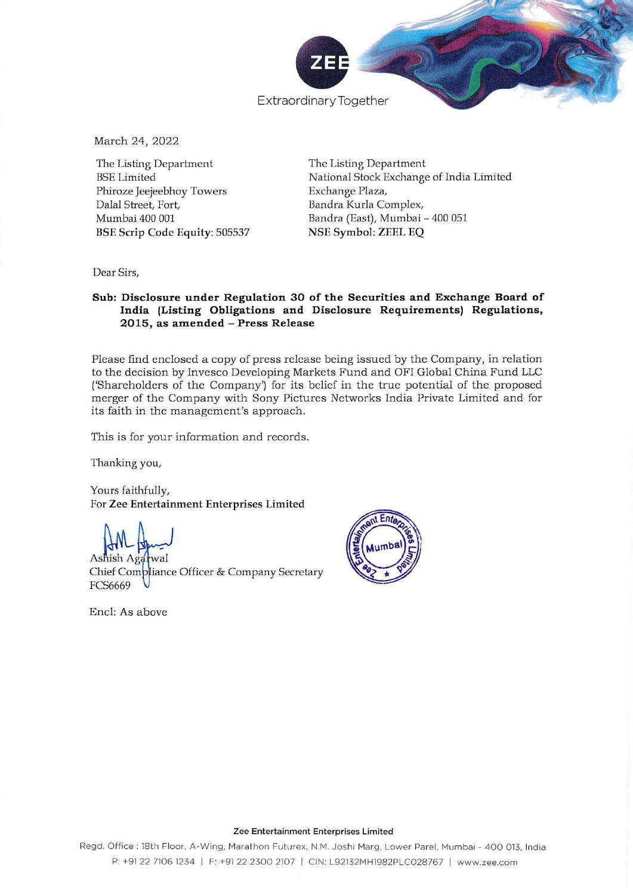

March 24, 2022

The Listing Department BSE Limited Phiroze Jeejeebhoy Towers Dalal Street, Fort, Mumbai 400 001 BSE Scrip Code Equity: 505537 The Listing Department National Stock Exchange of India Limited Exchange Plaza, Bandra Kurla Complex, Bandra (East), Mumbai - 400 051 NSE Symbol: ZEEL EQ

Dear Sirs,

## **Sub: Disclosure under Regulation 30 of the Securities and Exchange Board of India (Listing Obligations and Disclosure Requirements) Regulations, 2015, as amended - Press Release**

Please find enclosed a copy of press release being issued by the Company, in relation to the decision by Invesco Developing Markets Fund and OFI Global China Fund LLC ('Shareholders of the Company') for its belief in the true potential of the proposed merger of the Company with Sony Pictures Networks India Private Limited and for its faith in the management's approach .

This is for your information and records.

Thanking you,

Yours faithfully, For Zee Entertainment Enterprises Limited

 $\mathbf{A}$   $\mathbf{B}$   $\mathbf{A}$   $\mathbf{A}$   $\mathbf{A}$ 

Chief Compliance Officer & Company Secretary FCS6669

Encl: As above



## **Zee Entertainment Enterprises Limited**

**Regd. Office; 18th Floor, A-Wing, Marathon Futurex,** N.M. **Joshi Marg, Lower Pare!. Mumbai - 400 013, India**  P: +91 22 7106 1234 | F: +91 22 2300 2107 | CIN: L92132MH1982PLC028767 | www.zee.com